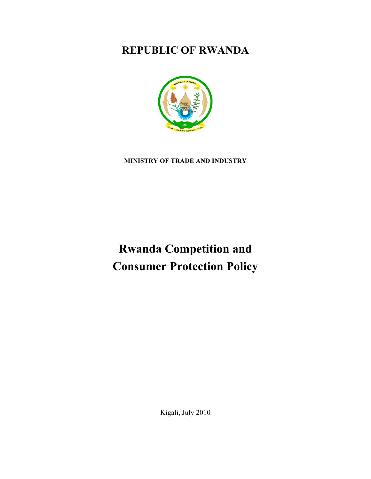## **REPUBLIC OF RWANDA**



**MINISTRY OF TRADE AND INDUSTRY**

# **Rwanda Competition and Consumer Protection Policy**

Kigali, July 2010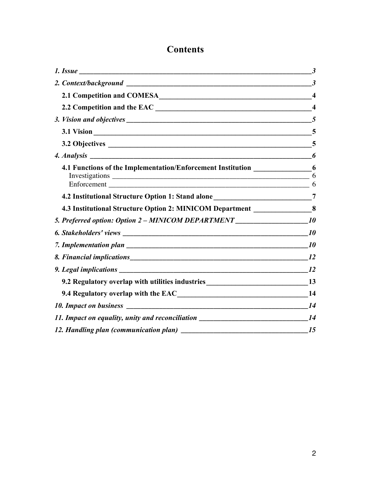### **Contents**

|                                                                                    | 3                       |
|------------------------------------------------------------------------------------|-------------------------|
|                                                                                    | $\boldsymbol{\beta}$    |
|                                                                                    | $\boldsymbol{4}$        |
|                                                                                    | $\overline{\mathbf{4}}$ |
|                                                                                    | 5                       |
| 3.1 Vision 5                                                                       |                         |
|                                                                                    | $\overline{5}$          |
|                                                                                    | 6                       |
| 4.1 Functions of the Implementation/Enforcement Institution __________________6    | 6<br>6                  |
| 4.2 Institutional Structure Option 1: Stand alone ______________________________7  |                         |
| 4.3 Institutional Structure Option 2: MINICOM Department __________________8       |                         |
| 5. Preferred option: Option 2 – MINICOM DEPARTMENT _____________________________10 |                         |
|                                                                                    |                         |
|                                                                                    |                         |
|                                                                                    |                         |
|                                                                                    |                         |
| 9.2 Regulatory overlap with utilities industries________________________________13 |                         |
|                                                                                    |                         |
|                                                                                    |                         |
| 11. Impact on equality, unity and reconciliation _______________________________14 |                         |
|                                                                                    |                         |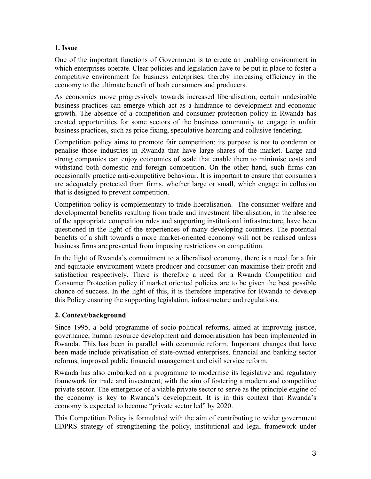#### **1. Issue**

One of the important functions of Government is to create an enabling environment in which enterprises operate. Clear policies and legislation have to be put in place to foster a competitive environment for business enterprises, thereby increasing efficiency in the economy to the ultimate benefit of both consumers and producers.

As economies move progressively towards increased liberalisation, certain undesirable business practices can emerge which act as a hindrance to development and economic growth. The absence of a competition and consumer protection policy in Rwanda has created opportunities for some sectors of the business community to engage in unfair business practices, such as price fixing, speculative hoarding and collusive tendering.

Competition policy aims to promote fair competition; its purpose is not to condemn or penalise those industries in Rwanda that have large shares of the market. Large and strong companies can enjoy economies of scale that enable them to minimise costs and withstand both domestic and foreign competition. On the other hand, such firms can occasionally practice anti-competitive behaviour. It is important to ensure that consumers are adequately protected from firms, whether large or small, which engage in collusion that is designed to prevent competition.

Competition policy is complementary to trade liberalisation. The consumer welfare and developmental benefits resulting from trade and investment liberalisation, in the absence of the appropriate competition rules and supporting institutional infrastructure, have been questioned in the light of the experiences of many developing countries. The potential benefits of a shift towards a more market-oriented economy will not be realised unless business firms are prevented from imposing restrictions on competition.

In the light of Rwanda's commitment to a liberalised economy, there is a need for a fair and equitable environment where producer and consumer can maximise their profit and satisfaction respectively. There is therefore a need for a Rwanda Competition and Consumer Protection policy if market oriented policies are to be given the best possible chance of success. In the light of this, it is therefore imperative for Rwanda to develop this Policy ensuring the supporting legislation, infrastructure and regulations.

#### **2. Context/background**

Since 1995, a bold programme of socio-political reforms, aimed at improving justice, governance, human resource development and democratisation has been implemented in Rwanda. This has been in parallel with economic reform. Important changes that have been made include privatisation of state-owned enterprises, financial and banking sector reforms, improved public financial management and civil service reform.

Rwanda has also embarked on a programme to modernise its legislative and regulatory framework for trade and investment, with the aim of fostering a modern and competitive private sector. The emergence of a viable private sector to serve as the principle engine of the economy is key to Rwanda's development. It is in this context that Rwanda's economy is expected to become "private sector led" by 2020.

This Competition Policy is formulated with the aim of contributing to wider government EDPRS strategy of strengthening the policy, institutional and legal framework under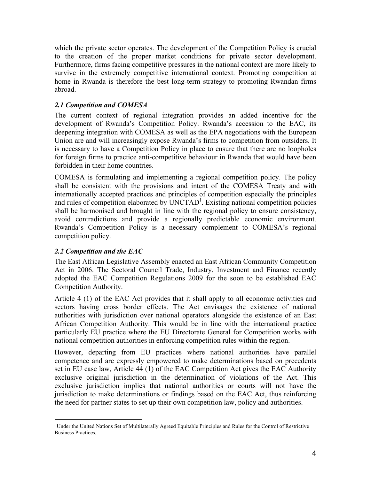which the private sector operates. The development of the Competition Policy is crucial to the creation of the proper market conditions for private sector development. Furthermore, firms facing competitive pressures in the national context are more likely to survive in the extremely competitive international context. Promoting competition at home in Rwanda is therefore the best long-term strategy to promoting Rwandan firms abroad.

#### *2.1 Competition and COMESA*

The current context of regional integration provides an added incentive for the development of Rwanda's Competition Policy. Rwanda's accession to the EAC, its deepening integration with COMESA as well as the EPA negotiations with the European Union are and will increasingly expose Rwanda's firms to competition from outsiders. It is necessary to have a Competition Policy in place to ensure that there are no loopholes for foreign firms to practice anti-competitive behaviour in Rwanda that would have been forbidden in their home countries.

COMESA is formulating and implementing a regional competition policy. The policy shall be consistent with the provisions and intent of the COMESA Treaty and with internationally accepted practices and principles of competition especially the principles and rules of competition elaborated by UNCTAD<sup>1</sup>. Existing national competition policies shall be harmonised and brought in line with the regional policy to ensure consistency, avoid contradictions and provide a regionally predictable economic environment. Rwanda's Competition Policy is a necessary complement to COMESA's regional competition policy.

#### *2.2 Competition and the EAC*

The East African Legislative Assembly enacted an East African Community Competition Act in 2006. The Sectoral Council Trade, Industry, Investment and Finance recently adopted the EAC Competition Regulations 2009 for the soon to be established EAC Competition Authority.

Article 4 (1) of the EAC Act provides that it shall apply to all economic activities and sectors having cross border effects. The Act envisages the existence of national authorities with jurisdiction over national operators alongside the existence of an East African Competition Authority. This would be in line with the international practice particularly EU practice where the EU Directorate General for Competition works with national competition authorities in enforcing competition rules within the region.

However, departing from EU practices where national authorities have parallel competence and are expressly empowered to make determinations based on precedents set in EU case law, Article 44 (1) of the EAC Competition Act gives the EAC Authority exclusive original jurisdiction in the determination of violations of the Act. This exclusive jurisdiction implies that national authorities or courts will not have the jurisdiction to make determinations or findings based on the EAC Act, thus reinforcing the need for partner states to set up their own competition law, policy and authorities.

 $\overline{1}$ Under the United Nations Set of Multilaterally Agreed Equitable Principles and Rules for the Control of Restrictive Business Practices.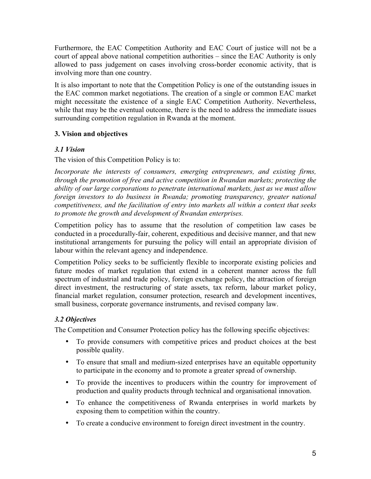Furthermore, the EAC Competition Authority and EAC Court of justice will not be a court of appeal above national competition authorities – since the EAC Authority is only allowed to pass judgement on cases involving cross-border economic activity, that is involving more than one country.

It is also important to note that the Competition Policy is one of the outstanding issues in the EAC common market negotiations. The creation of a single or common EAC market might necessitate the existence of a single EAC Competition Authority. Nevertheless, while that may be the eventual outcome, there is the need to address the immediate issues surrounding competition regulation in Rwanda at the moment.

#### **3. Vision and objectives**

#### *3.1 Vision*

The vision of this Competition Policy is to:

*Incorporate the interests of consumers, emerging entrepreneurs, and existing firms, through the promotion of free and active competition in Rwandan markets; protecting the ability of our large corporations to penetrate international markets, just as we must allow foreign investors to do business in Rwanda; promoting transparency, greater national competitiveness, and the facilitation of entry into markets all within a context that seeks to promote the growth and development of Rwandan enterprises.* 

Competition policy has to assume that the resolution of competition law cases be conducted in a procedurally-fair, coherent, expeditious and decisive manner, and that new institutional arrangements for pursuing the policy will entail an appropriate division of labour within the relevant agency and independence.

Competition Policy seeks to be sufficiently flexible to incorporate existing policies and future modes of market regulation that extend in a coherent manner across the full spectrum of industrial and trade policy, foreign exchange policy, the attraction of foreign direct investment, the restructuring of state assets, tax reform, labour market policy, financial market regulation, consumer protection, research and development incentives, small business, corporate governance instruments, and revised company law.

#### *3.2 Objectives*

The Competition and Consumer Protection policy has the following specific objectives:

- To provide consumers with competitive prices and product choices at the best possible quality.
- To ensure that small and medium-sized enterprises have an equitable opportunity to participate in the economy and to promote a greater spread of ownership.
- To provide the incentives to producers within the country for improvement of production and quality products through technical and organisational innovation.
- To enhance the competitiveness of Rwanda enterprises in world markets by exposing them to competition within the country.
- To create a conducive environment to foreign direct investment in the country.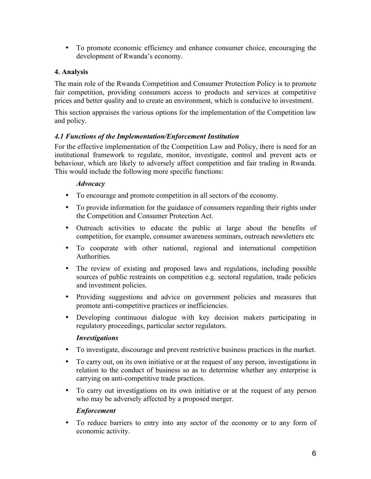• To promote economic efficiency and enhance consumer choice, encouraging the development of Rwanda's economy.

#### **4. Analysis**

The main role of the Rwanda Competition and Consumer Protection Policy is to promote fair competition, providing consumers access to products and services at competitive prices and better quality and to create an environment, which is conducive to investment.

This section appraises the various options for the implementation of the Competition law and policy.

#### *4.1 Functions of the Implementation/Enforcement Institution*

For the effective implementation of the Competition Law and Policy, there is need for an institutional framework to regulate, monitor, investigate, control and prevent acts or behaviour, which are likely to adversely affect competition and fair trading in Rwanda. This would include the following more specific functions:

#### *Advocacy*

- To encourage and promote competition in all sectors of the economy.
- To provide information for the guidance of consumers regarding their rights under the Competition and Consumer Protection Act.
- Outreach activities to educate the public at large about the benefits of competition, for example, consumer awareness seminars, outreach newsletters etc
- To cooperate with other national, regional and international competition Authorities.
- The review of existing and proposed laws and regulations, including possible sources of public restraints on competition e.g. sectoral regulation, trade policies and investment policies.
- Providing suggestions and advice on government policies and measures that promote anti-competitive practices or inefficiencies.
- Developing continuous dialogue with key decision makers participating in regulatory proceedings, particular sector regulators.

#### *Investigations*

- To investigate, discourage and prevent restrictive business practices in the market.
- To carry out, on its own initiative or at the request of any person, investigations in relation to the conduct of business so as to determine whether any enterprise is carrying on anti-competitive trade practices.
- To carry out investigations on its own initiative or at the request of any person who may be adversely affected by a proposed merger.

#### *Enforcement*

• To reduce barriers to entry into any sector of the economy or to any form of economic activity.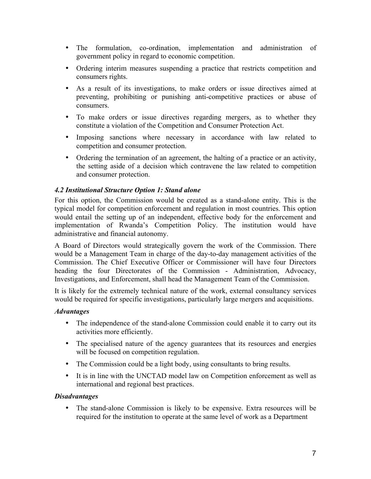- The formulation, co-ordination, implementation and administration of government policy in regard to economic competition.
- Ordering interim measures suspending a practice that restricts competition and consumers rights.
- As a result of its investigations, to make orders or issue directives aimed at preventing, prohibiting or punishing anti-competitive practices or abuse of consumers.
- To make orders or issue directives regarding mergers, as to whether they constitute a violation of the Competition and Consumer Protection Act.
- Imposing sanctions where necessary in accordance with law related to competition and consumer protection.
- Ordering the termination of an agreement, the halting of a practice or an activity, the setting aside of a decision which contravene the law related to competition and consumer protection.

#### *4.2 Institutional Structure Option 1: Stand alone*

For this option, the Commission would be created as a stand-alone entity. This is the typical model for competition enforcement and regulation in most countries. This option would entail the setting up of an independent, effective body for the enforcement and implementation of Rwanda's Competition Policy. The institution would have administrative and financial autonomy.

A Board of Directors would strategically govern the work of the Commission. There would be a Management Team in charge of the day-to-day management activities of the Commission. The Chief Executive Officer or Commissioner will have four Directors heading the four Directorates of the Commission - Administration, Advocacy, Investigations, and Enforcement, shall head the Management Team of the Commission.

It is likely for the extremely technical nature of the work, external consultancy services would be required for specific investigations, particularly large mergers and acquisitions.

#### *Advantages*

- The independence of the stand-alone Commission could enable it to carry out its activities more efficiently.
- The specialised nature of the agency guarantees that its resources and energies will be focused on competition regulation.
- The Commission could be a light body, using consultants to bring results.
- It is in line with the UNCTAD model law on Competition enforcement as well as international and regional best practices.

#### *Disadvantages*

• The stand-alone Commission is likely to be expensive. Extra resources will be required for the institution to operate at the same level of work as a Department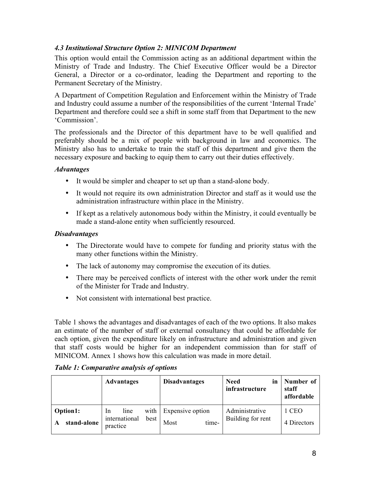#### *4.3 Institutional Structure Option 2: MINICOM Department*

This option would entail the Commission acting as an additional department within the Ministry of Trade and Industry. The Chief Executive Officer would be a Director General, a Director or a co-ordinator, leading the Department and reporting to the Permanent Secretary of the Ministry.

A Department of Competition Regulation and Enforcement within the Ministry of Trade and Industry could assume a number of the responsibilities of the current 'Internal Trade' Department and therefore could see a shift in some staff from that Department to the new 'Commission'.

The professionals and the Director of this department have to be well qualified and preferably should be a mix of people with background in law and economics. The Ministry also has to undertake to train the staff of this department and give them the necessary exposure and backing to equip them to carry out their duties effectively.

#### *Advantages*

- It would be simpler and cheaper to set up than a stand-alone body.
- It would not require its own administration Director and staff as it would use the administration infrastructure within place in the Ministry.
- If kept as a relatively autonomous body within the Ministry, it could eventually be made a stand-alone entity when sufficiently resourced.

#### *Disadvantages*

- The Directorate would have to compete for funding and priority status with the many other functions within the Ministry.
- The lack of autonomy may compromise the execution of its duties.
- There may be perceived conflicts of interest with the other work under the remit of the Minister for Trade and Industry.
- Not consistent with international best practice.

Table 1 shows the advantages and disadvantages of each of the two options. It also makes an estimate of the number of staff or external consultancy that could be affordable for each option, given the expenditure likely on infrastructure and administration and given that staff costs would be higher for an independent commission than for staff of MINICOM. Annex 1 shows how this calculation was made in more detail.

|                              | <b>Advantages</b>                                                  | <b>Disadvantages</b>              | <b>Need</b><br>in<br>infrastructure | Number of<br>staff<br>affordable |
|------------------------------|--------------------------------------------------------------------|-----------------------------------|-------------------------------------|----------------------------------|
| Option1:<br>stand-alone<br>A | with<br>line<br><sub>In</sub><br>international<br>best<br>practice | Expensive option<br>time-<br>Most | Administrative<br>Building for rent | 1 CEO<br>4 Directors             |

#### *Table 1: Comparative analysis of options*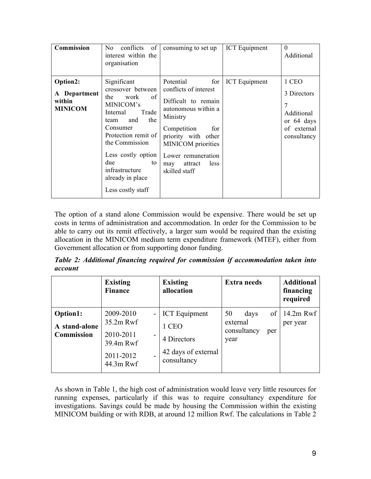| Commission                                           | of<br>conflicts<br>No.<br>interest within the<br>organisation                                                                                                                                                                                                    | consuming to set up                                                                                                                                                                                                                     | <b>ICT</b> Equipment | $\Omega$<br>Additional                                                              |
|------------------------------------------------------|------------------------------------------------------------------------------------------------------------------------------------------------------------------------------------------------------------------------------------------------------------------|-----------------------------------------------------------------------------------------------------------------------------------------------------------------------------------------------------------------------------------------|----------------------|-------------------------------------------------------------------------------------|
| Option2:<br>A Department<br>within<br><b>MINICOM</b> | Significant<br>crossover between<br>of<br>the<br>work<br>MINICOM's<br>Trade<br>Internal<br>the<br>and<br>team<br>Consumer<br>Protection remit of<br>the Commission<br>Less costly option<br>due<br>to<br>infrastructure<br>already in place<br>Less costly staff | for<br>Potential<br>conflicts of interest<br>Difficult to remain<br>autonomous within a<br>Ministry<br>Competition<br>for<br>priority with other<br>MINICOM priorities<br>Lower remuneration<br>less<br>attract<br>may<br>skilled staff | <b>ICT</b> Equipment | 1 CEO<br>3 Directors<br>7<br>Additional<br>or 64 days<br>of external<br>consultancy |

The option of a stand alone Commission would be expensive. There would be set up costs in terms of administration and accommodation. In order for the Commission to be able to carry out its remit effectively, a larger sum would be required than the existing allocation in the MINICOM medium term expenditure framework (MTEF), either from Government allocation or from supporting donor funding.

*Table 2: Additional financing required for commission if accommodation taken into account*

|                                                | <b>Existing</b><br><b>Finance</b>                                                                        | <b>Existing</b><br>allocation                                                      | <b>Extra</b> needs                                         | <b>Additional</b><br>financing<br>required |
|------------------------------------------------|----------------------------------------------------------------------------------------------------------|------------------------------------------------------------------------------------|------------------------------------------------------------|--------------------------------------------|
| Option1:<br>A stand-alone<br><b>Commission</b> | 2009-2010<br>$35.2m$ Rwf<br>2010-2011<br>$\overline{\phantom{0}}$<br>39.4m Rwf<br>2011-2012<br>44.3m Rwf | <b>ICT</b> Equipment<br>1 CEO<br>4 Directors<br>42 days of external<br>consultancy | of<br>50<br>days<br>external<br>consultancy<br>per<br>year | $14.2m$ Rwf<br>per year                    |

As shown in Table 1, the high cost of administration would leave very little resources for running expenses, particularly if this was to require consultancy expenditure for investigations. Savings could be made by housing the Commission within the existing MINICOM building or with RDB, at around 12 million Rwf. The calculations in Table 2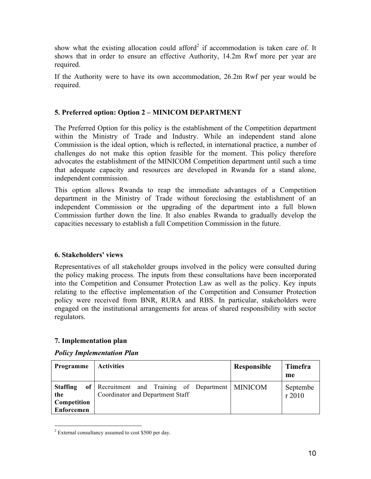show what the existing allocation could afford<sup>2</sup> if accommodation is taken care of. It shows that in order to ensure an effective Authority, 14.2m Rwf more per year are required.

If the Authority were to have its own accommodation, 26.2m Rwf per year would be required.

#### **5. Preferred option: Option 2 – MINICOM DEPARTMENT**

The Preferred Option for this policy is the establishment of the Competition department within the Ministry of Trade and Industry. While an independent stand alone Commission is the ideal option, which is reflected, in international practice, a number of challenges do not make this option feasible for the moment. This policy therefore advocates the establishment of the MINICOM Competition department until such a time that adequate capacity and resources are developed in Rwanda for a stand alone, independent commission.

This option allows Rwanda to reap the immediate advantages of a Competition department in the Ministry of Trade without foreclosing the establishment of an independent Commission or the upgrading of the department into a full blown Commission further down the line. It also enables Rwanda to gradually develop the capacities necessary to establish a full Competition Commission in the future.

#### **6. Stakeholders' views**

Representatives of all stakeholder groups involved in the policy were consulted during the policy making process. The inputs from these consultations have been incorporated into the Competition and Consumer Protection Law as well as the policy. Key inputs relating to the effective implementation of the Competition and Consumer Protection policy were received from BNR, RURA and RBS. In particular, stakeholders were engaged on the institutional arrangements for areas of shared responsibility with sector regulators.

#### **7. Implementation plan**

#### *Policy Implementation Plan*

| Programme                                                  | <b>Activities</b>                                                                     | Responsible | Timefra<br>me     |
|------------------------------------------------------------|---------------------------------------------------------------------------------------|-------------|-------------------|
| <b>Staffing</b><br>the<br>Competition<br><b>Enforcemen</b> | of Recruitment and Training of Department MINICOM<br>Coordinator and Department Staff |             | Septembe<br>r2010 |

 $2$  External consultancy assumed to cost \$500 per day.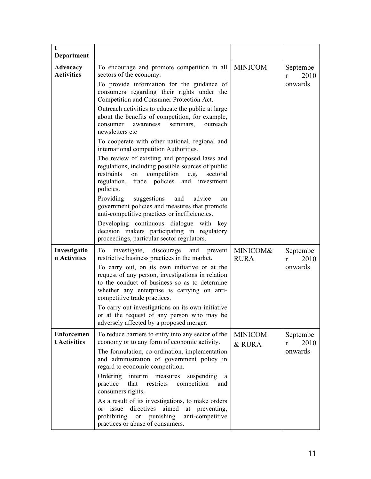| t                                 |                                                                                                                                                                                                                                                                                                                                                                                                                                                                                                                                                                                           |                          |                                  |
|-----------------------------------|-------------------------------------------------------------------------------------------------------------------------------------------------------------------------------------------------------------------------------------------------------------------------------------------------------------------------------------------------------------------------------------------------------------------------------------------------------------------------------------------------------------------------------------------------------------------------------------------|--------------------------|----------------------------------|
| Department                        |                                                                                                                                                                                                                                                                                                                                                                                                                                                                                                                                                                                           |                          |                                  |
| Advocacy<br><b>Activities</b>     | To encourage and promote competition in all<br><b>MINICOM</b><br>sectors of the economy.<br>To provide information for the guidance of<br>consumers regarding their rights under the<br>Competition and Consumer Protection Act.<br>Outreach activities to educate the public at large<br>about the benefits of competition, for example,<br>seminars,<br>outreach<br>consumer<br>awareness<br>newsletters etc<br>To cooperate with other national, regional and<br>international competition Authorities.                                                                                |                          | Septembe<br>2010<br>r<br>onwards |
|                                   | The review of existing and proposed laws and<br>regulations, including possible sources of public<br>competition<br>sectoral<br>restraints<br>on<br>e.g.<br>regulation, trade policies and investment<br>policies.<br>Providing<br>suggestions<br>and<br>advice<br>on<br>government policies and measures that promote<br>anti-competitive practices or inefficiencies.<br>Developing continuous dialogue with key<br>decision makers participating in regulatory<br>proceedings, particular sector regulators.                                                                           |                          |                                  |
| Investigatio<br>n Activities      | investigate,<br>discourage<br>and<br>To<br>prevent<br>restrictive business practices in the market.<br>To carry out, on its own initiative or at the<br>request of any person, investigations in relation<br>to the conduct of business so as to determine<br>whether any enterprise is carrying on anti-<br>competitive trade practices.<br>To carry out investigations on its own initiative<br>or at the request of any person who may be<br>adversely affected by a proposed merger.                                                                                                  | MINICOM&<br><b>RURA</b>  | Septembe<br>2010<br>r<br>onwards |
| <b>Enforcemen</b><br>t Activities | To reduce barriers to entry into any sector of the<br>economy or to any form of economic activity.<br>The formulation, co-ordination, implementation<br>and administration of government policy in<br>regard to economic competition.<br>Ordering<br>interim<br>suspending<br>measures<br>a<br>practice<br>competition<br>that<br>restricts<br>and<br>consumers rights.<br>As a result of its investigations, to make orders<br>directives<br>aimed<br>issue<br>at preventing,<br><sub>or</sub><br>prohibiting<br>punishing<br>anti-competitive<br>or<br>practices or abuse of consumers. | <b>MINICOM</b><br>& RURA | Septembe<br>2010<br>r<br>onwards |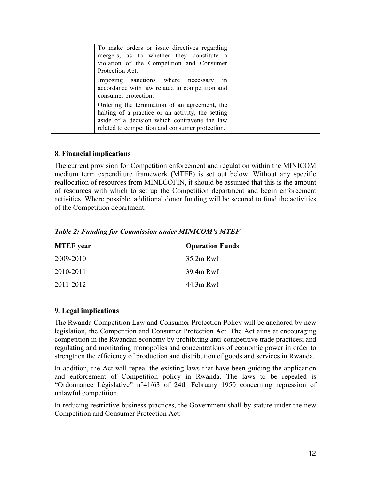| To make orders or issue directives regarding<br>mergers, as to whether they constitute a<br>violation of the Competition and Consumer<br>Protection Act.                                              |  |
|-------------------------------------------------------------------------------------------------------------------------------------------------------------------------------------------------------|--|
| Imposing sanctions where necessary<br>1n<br>accordance with law related to competition and<br>consumer protection.                                                                                    |  |
| Ordering the termination of an agreement, the<br>halting of a practice or an activity, the setting<br>aside of a decision which contravene the law<br>related to competition and consumer protection. |  |

#### **8. Financial implications**

The current provision for Competition enforcement and regulation within the MINICOM medium term expenditure framework (MTEF) is set out below. Without any specific reallocation of resources from MINECOFIN, it should be assumed that this is the amount of resources with which to set up the Competition department and begin enforcement activities. Where possible, additional donor funding will be secured to fund the activities of the Competition department.

| <b>MTEF</b> year | <b>Operation Funds</b> |
|------------------|------------------------|
| 2009-2010        | $35.2m$ Rwf            |
| 2010-2011        | 39.4m Rwf              |
| 2011-2012        | $44.3m$ Rwf            |

*Table 2: Funding for Commission under MINICOM's MTEF*

#### **9. Legal implications**

The Rwanda Competition Law and Consumer Protection Policy will be anchored by new legislation, the Competition and Consumer Protection Act. The Act aims at encouraging competition in the Rwandan economy by prohibiting anti-competitive trade practices; and regulating and monitoring monopolies and concentrations of economic power in order to strengthen the efficiency of production and distribution of goods and services in Rwanda.

In addition, the Act will repeal the existing laws that have been guiding the application and enforcement of Competition policy in Rwanda. The laws to be repealed is "Ordonnance Législative" n°41/63 of 24th February 1950 concerning repression of unlawful competition.

In reducing restrictive business practices, the Government shall by statute under the new Competition and Consumer Protection Act: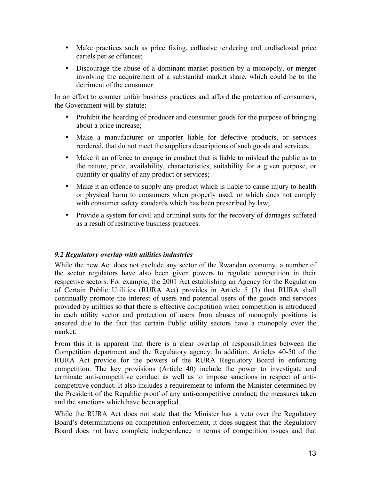- Make practices such as price fixing, collusive tendering and undisclosed price cartels per se offences;
- Discourage the abuse of a dominant market position by a monopoly, or merger involving the acquirement of a substantial market share, which could be to the detriment of the consumer.

In an effort to counter unfair business practices and afford the protection of consumers, the Government will by statute:

- Prohibit the hoarding of producer and consumer goods for the purpose of bringing about a price increase;
- Make a manufacturer or importer liable for defective products, or services rendered, that do not meet the suppliers descriptions of such goods and services;
- Make it an offence to engage in conduct that is liable to mislead the public as to the nature, price, availability, characteristics, suitability for a given purpose, or quantity or quality of any product or services;
- Make it an offence to supply any product which is liable to cause injury to health or physical harm to consumers when properly used, or which does not comply with consumer safety standards which has been prescribed by law;
- Provide a system for civil and criminal suits for the recovery of damages suffered as a result of restrictive business practices.

#### *9.2 Regulatory overlap with utilities industries*

While the new Act does not exclude any sector of the Rwandan economy, a number of the sector regulators have also been given powers to regulate competition in their respective sectors. For example, the 2001 Act establishing an Agency for the Regulation of Certain Public Utilities (RURA Act) provides in Article 5 (3) that RURA shall continually promote the interest of users and potential users of the goods and services provided by utilities so that there is effective competition when competition is introduced in each utility sector and protection of users from abuses of monopoly positions is ensured due to the fact that certain Public utility sectors have a monopoly over the market.

From this it is apparent that there is a clear overlap of responsibilities between the Competition department and the Regulatory agency. In addition, Articles 40-50 of the RURA Act provide for the powers of the RURA Regulatory Board in enforcing competition. The key provisions (Article 40) include the power to investigate and terminate anti-competitive conduct as well as to impose sanctions in respect of anticompetitive conduct. It also includes a requirement to inform the Minister determined by the President of the Republic proof of any anti-competitive conduct; the measures taken and the sanctions which have been applied.

While the RURA Act does not state that the Minister has a veto over the Regulatory Board's determinations on competition enforcement, it does suggest that the Regulatory Board does not have complete independence in terms of competition issues and that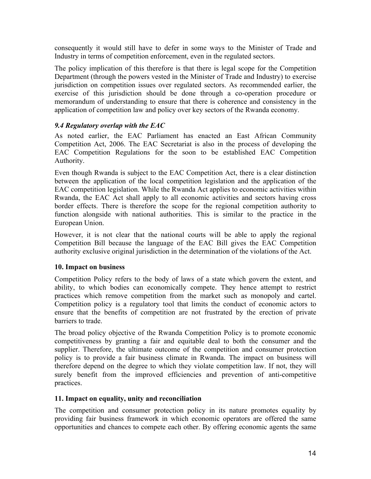consequently it would still have to defer in some ways to the Minister of Trade and Industry in terms of competition enforcement, even in the regulated sectors.

The policy implication of this therefore is that there is legal scope for the Competition Department (through the powers vested in the Minister of Trade and Industry) to exercise jurisdiction on competition issues over regulated sectors. As recommended earlier, the exercise of this jurisdiction should be done through a co-operation procedure or memorandum of understanding to ensure that there is coherence and consistency in the application of competition law and policy over key sectors of the Rwanda economy.

#### *9.4 Regulatory overlap with the EAC*

As noted earlier, the EAC Parliament has enacted an East African Community Competition Act, 2006. The EAC Secretariat is also in the process of developing the EAC Competition Regulations for the soon to be established EAC Competition Authority.

Even though Rwanda is subject to the EAC Competition Act, there is a clear distinction between the application of the local competition legislation and the application of the EAC competition legislation. While the Rwanda Act applies to economic activities within Rwanda, the EAC Act shall apply to all economic activities and sectors having cross border effects. There is therefore the scope for the regional competition authority to function alongside with national authorities. This is similar to the practice in the European Union.

However, it is not clear that the national courts will be able to apply the regional Competition Bill because the language of the EAC Bill gives the EAC Competition authority exclusive original jurisdiction in the determination of the violations of the Act.

#### **10. Impact on business**

Competition Policy refers to the body of laws of a state which govern the extent, and ability, to which bodies can economically compete. They hence attempt to restrict practices which remove competition from the market such as monopoly and cartel. Competition policy is a regulatory tool that limits the conduct of economic actors to ensure that the benefits of competition are not frustrated by the erection of private barriers to trade.

The broad policy objective of the Rwanda Competition Policy is to promote economic competitiveness by granting a fair and equitable deal to both the consumer and the supplier. Therefore, the ultimate outcome of the competition and consumer protection policy is to provide a fair business climate in Rwanda. The impact on business will therefore depend on the degree to which they violate competition law. If not, they will surely benefit from the improved efficiencies and prevention of anti-competitive practices.

#### **11. Impact on equality, unity and reconciliation**

The competition and consumer protection policy in its nature promotes equality by providing fair business framework in which economic operators are offered the same opportunities and chances to compete each other. By offering economic agents the same